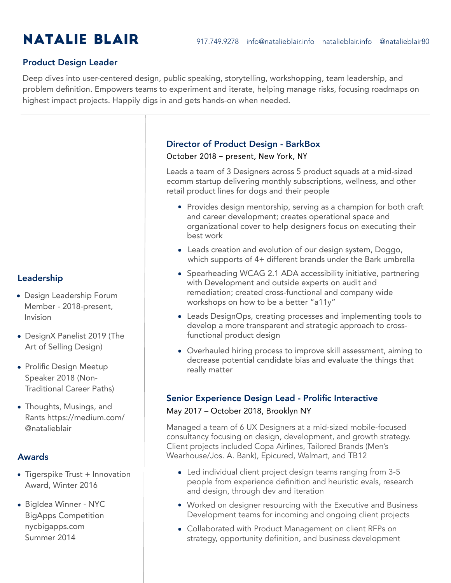### Product Design Leader

Deep dives into user-centered design, public speaking, storytelling, workshopping, team leadership, and problem definition. Empowers teams to experiment and iterate, helping manage risks, focusing roadmaps on highest impact projects. Happily digs in and gets hands-on when needed.

# Director of Product Design - BarkBox

October 2018 – present, New York, NY

Leads a team of 3 Designers across 5 product squads at a mid-sized ecomm startup delivering monthly subscriptions, wellness, and other retail product lines for dogs and their people

- Provides design mentorship, serving as a champion for both craft and career development; creates operational space and organizational cover to help designers focus on executing their best work
- Leads creation and evolution of our design system, Doggo, which supports of 4+ different brands under the Bark umbrella
- Spearheading WCAG 2.1 ADA accessibility initiative, partnering with Development and outside experts on audit and remediation; created cross-functional and company wide workshops on how to be a better "a11y"
- Leads DesignOps, creating processes and implementing tools to develop a more transparent and strategic approach to crossfunctional product design
- Overhauled hiring process to improve skill assessment, aiming to decrease potential candidate bias and evaluate the things that really matter

#### Senior Experience Design Lead - Prolific Interactive

#### May 2017 – October 2018, Brooklyn NY

Managed a team of 6 UX Designers at a mid-sized mobile-focused consultancy focusing on design, development, and growth strategy. Client projects included Copa Airlines, Tailored Brands (Men's Wearhouse/Jos. A. Bank), Epicured, Walmart, and TB12

- Led individual client project design teams ranging from 3-5 people from experience definition and heuristic evals, research and design, through dev and iteration
- Worked on designer resourcing with the Executive and Business Development teams for incoming and ongoing client projects
- Collaborated with Product Management on client RFPs on strategy, opportunity definition, and business development

# Leadership

- Design Leadership Forum Member - 2018-present, Invision
- DesignX Panelist 2019 (The Art of Selling Design)
- Prolific Design Meetup Speaker 2018 (Non-Traditional Career Paths)
- Thoughts, Musings, and Rants https://medium.com/ @natalieblair

#### Awards

- Tigerspike Trust + Innovation Award, Winter 2016
- BigIdea Winner NYC BigApps Competition nycbigapps.com Summer 2014